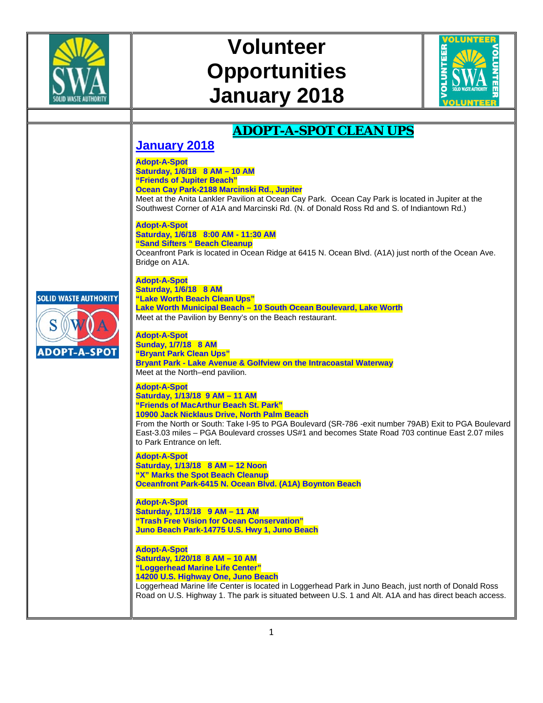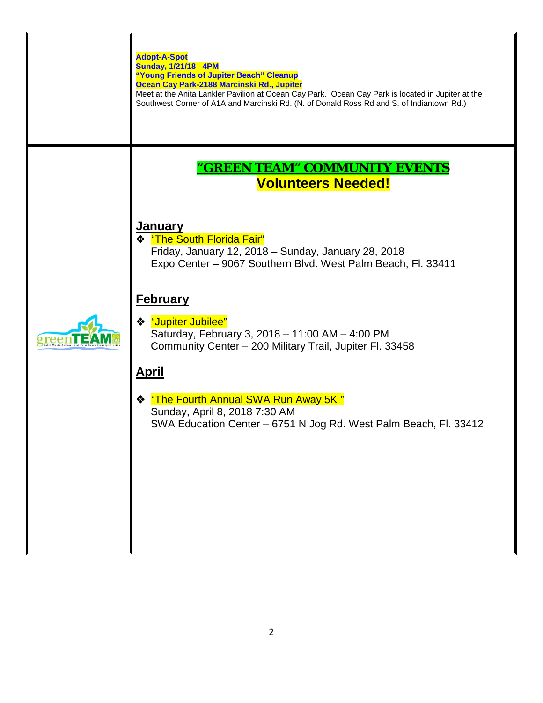